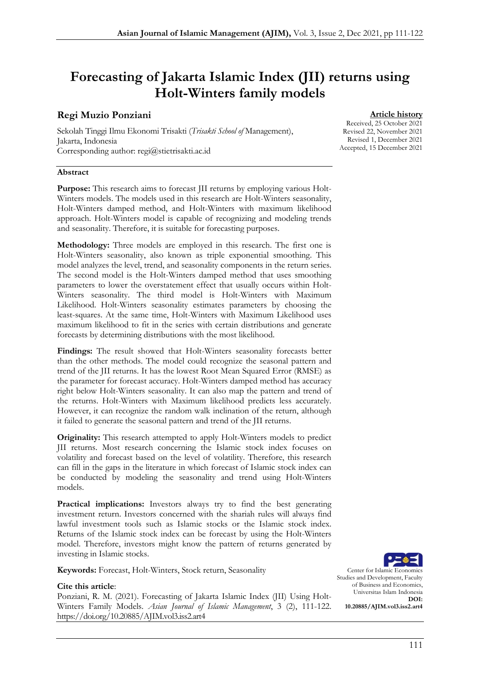# Forecasting of Jakarta Islamic Index (JII) returns using Holt-Winters family models

#### Regi Muzio Ponziani

Sekolah Tinggi Ilmu Ekonomi Trisakti (*Trisakti School of* Management), Jakarta, Indonesia Corresponding author: regi@stietrisakti.ac.id

#### Abstract

Purpose: This research aims to forecast JII returns by employing various Holt-Winters models. The models used in this research are Holt-Winters seasonality, Holt-Winters damped method, and Holt-Winters with maximum likelihood approach. Holt-Winters model is capable of recognizing and modeling trends and seasonality. Therefore, it is suitable for forecasting purposes.

Methodology: Three models are employed in this research. The first one is Holt-Winters seasonality, also known as triple exponential smoothing. This model analyzes the level, trend, and seasonality components in the return series. The second model is the Holt-Winters damped method that uses smoothing parameters to lower the overstatement effect that usually occurs within Holt-Winters seasonality. The third model is Holt-Winters with Maximum Likelihood. Holt-Winters seasonality estimates parameters by choosing the least-squares. At the same time, Holt-Winters with Maximum Likelihood uses maximum likelihood to fit in the series with certain distributions and generate forecasts by determining distributions with the most likelihood.

Findings: The result showed that Holt-Winters seasonality forecasts better than the other methods. The model could recognize the seasonal pattern and trend of the JII returns. It has the lowest Root Mean Squared Error (RMSE) as the parameter for forecast accuracy. Holt-Winters damped method has accuracy right below Holt-Winters seasonality. It can also map the pattern and trend of the returns. Holt-Winters with Maximum likelihood predicts less accurately. However, it can recognize the random walk inclination of the return, although it failed to generate the seasonal pattern and trend of the JII returns.

Originality: This research attempted to apply Holt-Winters models to predict JII returns. Most research concerning the Islamic stock index focuses on volatility and forecast based on the level of volatility. Therefore, this research can fill in the gaps in the literature in which forecast of Islamic stock index can be conducted by modeling the seasonality and trend using Holt-Winters models.

Practical implications: Investors always try to find the best generating investment return. Investors concerned with the shariah rules will always find lawful investment tools such as Islamic stocks or the Islamic stock index. Returns of the Islamic stock index can be forecast by using the Holt-Winters model. Therefore, investors might know the pattern of returns generated by investing in Islamic stocks.

Keywords: Forecast, Holt-Winters, Stock return, Seasonality

#### Cite this article:

Ponziani, R. M. (2021). Forecasting of Jakarta Islamic Index (JII) Using Holt-Winters Family Models. *Asian Journal of Islamic Management*, 3 (2), 111-122. <https://doi.org/10.20885/AJIM.vol3.iss2.art4>

Center for Islamic Economics Studies and Development, Faculty of Business and Economics, Universitas Islam Indonesia DOI: 10.20885/AJIM.vol3.iss2.art4

#### **Article history**

Received, 25 October 2021 Revised 22, November 2021 Revised 1, December 2021 Accepted, 15 December 2021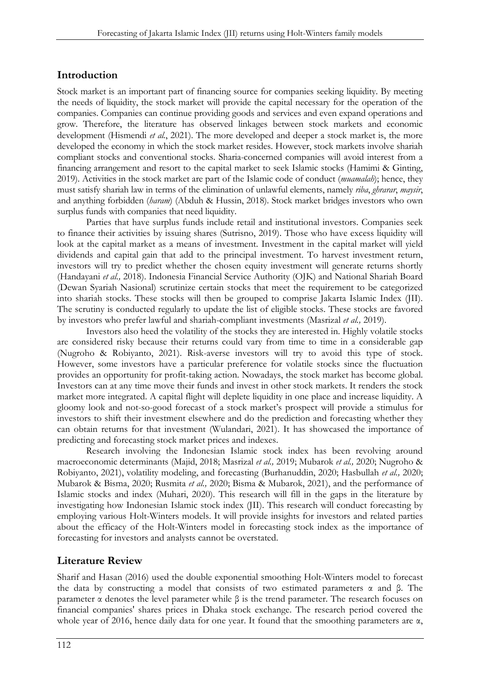### Introduction

Stock market is an important part of financing source for companies seeking liquidity. By meeting the needs of liquidity, the stock market will provide the capital necessary for the operation of the companies. Companies can continue providing goods and services and even expand operations and grow. Therefore, the literature has observed linkages between stock markets and economic development (Hismendi *et al.*, 2021). The more developed and deeper a stock market is, the more developed the economy in which the stock market resides. However, stock markets involve shariah compliant stocks and conventional stocks. Sharia-concerned companies will avoid interest from a financing arrangement and resort to the capital market to seek Islamic stocks (Hamimi & Ginting, 2019). Activities in the stock market are part of the Islamic code of conduct (*muamalah*); hence, they must satisfy shariah law in terms of the elimination of unlawful elements, namely *riba*, *ghrarar*, *maysir*, and anything forbidden (*haram*) (Abduh & Hussin, 2018). Stock market bridges investors who own surplus funds with companies that need liquidity.

Parties that have surplus funds include retail and institutional investors. Companies seek to finance their activities by issuing shares (Sutrisno, 2019). Those who have excess liquidity will look at the capital market as a means of investment. Investment in the capital market will yield dividends and capital gain that add to the principal investment. To harvest investment return, investors will try to predict whether the chosen equity investment will generate returns shortly (Handayani *et al.,* 2018). Indonesia Financial Service Authority (OJK) and National Shariah Board (Dewan Syariah Nasional) scrutinize certain stocks that meet the requirement to be categorized into shariah stocks. These stocks will then be grouped to comprise Jakarta Islamic Index (JII). The scrutiny is conducted regularly to update the list of eligible stocks. These stocks are favored by investors who prefer lawful and shariah-compliant investments (Masrizal *et al.,* 2019).

Investors also heed the volatility of the stocks they are interested in. Highly volatile stocks are considered risky because their returns could vary from time to time in a considerable gap (Nugroho & Robiyanto, 2021). Risk-averse investors will try to avoid this type of stock. However, some investors have a particular preference for volatile stocks since the fluctuation provides an opportunity for profit-taking action. Nowadays, the stock market has become global. Investors can at any time move their funds and invest in other stock markets. It renders the stock market more integrated. A capital flight will deplete liquidity in one place and increase liquidity. A gloomy look and not-so-good forecast of a stock market's prospect will provide a stimulus for investors to shift their investment elsewhere and do the prediction and forecasting whether they can obtain returns for that investment (Wulandari, 2021). It has showcased the importance of predicting and forecasting stock market prices and indexes.

Research involving the Indonesian Islamic stock index has been revolving around macroeconomic determinants (Majid, 2018; Masrizal *et al.,* 2019; Mubarok *et al.,* 2020; Nugroho & Robiyanto, 2021), volatility modeling, and forecasting (Burhanuddin, 2020; Hasbullah *et al.,* 2020; Mubarok & Bisma, 2020; Rusmita *et al.,* 2020; Bisma & Mubarok, 2021), and the performance of Islamic stocks and index (Muhari, 2020). This research will fill in the gaps in the literature by investigating how Indonesian Islamic stock index (JII). This research will conduct forecasting by employing various Holt-Winters models. It will provide insights for investors and related parties about the efficacy of the Holt-Winters model in forecasting stock index as the importance of forecasting for investors and analysts cannot be overstated.

# Literature Review

Sharif and Hasan (2016) used the double exponential smoothing Holt-Winters model to forecast the data by constructing a model that consists of two estimated parameters  $\alpha$  and β. The parameter α denotes the level parameter while β is the trend parameter. The research focuses on financial companies' shares prices in Dhaka stock exchange. The research period covered the whole year of 2016, hence daily data for one year. It found that the smoothing parameters are α,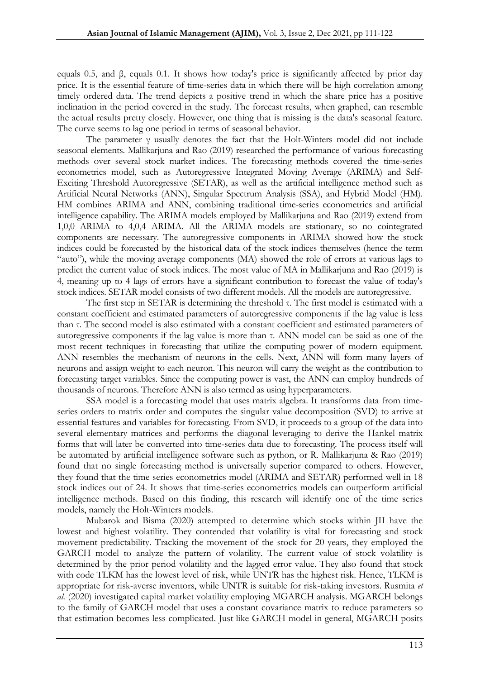equals 0.5, and β, equals 0.1. It shows how today's price is significantly affected by prior day price. It is the essential feature of time-series data in which there will be high correlation among timely ordered data. The trend depicts a positive trend in which the share price has a positive inclination in the period covered in the study. The forecast results, when graphed, can resemble the actual results pretty closely. However, one thing that is missing is the data's seasonal feature. The curve seems to lag one period in terms of seasonal behavior.

The parameter γ usually denotes the fact that the Holt-Winters model did not include seasonal elements. Mallikarjuna and Rao (2019) researched the performance of various forecasting methods over several stock market indices. The forecasting methods covered the time-series econometrics model, such as Autoregressive Integrated Moving Average (ARIMA) and Self-Exciting Threshold Autoregressive (SETAR), as well as the artificial intelligence method such as Artificial Neural Networks (ANN), Singular Spectrum Analysis (SSA), and Hybrid Model (HM). HM combines ARIMA and ANN, combining traditional time-series econometrics and artificial intelligence capability. The ARIMA models employed by Mallikarjuna and Rao (2019) extend from 1,0,0 ARIMA to 4,0,4 ARIMA. All the ARIMA models are stationary, so no cointegrated components are necessary. The autoregressive components in ARIMA showed how the stock indices could be forecasted by the historical data of the stock indices themselves (hence the term "auto"), while the moving average components (MA) showed the role of errors at various lags to predict the current value of stock indices. The most value of MA in Mallikarjuna and Rao (2019) is 4, meaning up to 4 lags of errors have a significant contribution to forecast the value of today's stock indices. SETAR model consists of two different models. All the models are autoregressive.

The first step in SETAR is determining the threshold  $\tau$ . The first model is estimated with a constant coefficient and estimated parameters of autoregressive components if the lag value is less than τ. The second model is also estimated with a constant coefficient and estimated parameters of autoregressive components if the lag value is more than τ. ANN model can be said as one of the most recent techniques in forecasting that utilize the computing power of modern equipment. ANN resembles the mechanism of neurons in the cells. Next, ANN will form many layers of neurons and assign weight to each neuron. This neuron will carry the weight as the contribution to forecasting target variables. Since the computing power is vast, the ANN can employ hundreds of thousands of neurons. Therefore ANN is also termed as using hyperparameters.

SSA model is a forecasting model that uses matrix algebra. It transforms data from timeseries orders to matrix order and computes the singular value decomposition (SVD) to arrive at essential features and variables for forecasting. From SVD, it proceeds to a group of the data into several elementary matrices and performs the diagonal leveraging to derive the Hankel matrix forms that will later be converted into time-series data due to forecasting. The process itself will be automated by artificial intelligence software such as python, or R. Mallikarjuna & Rao (2019) found that no single forecasting method is universally superior compared to others. However, they found that the time series econometrics model (ARIMA and SETAR) performed well in 18 stock indices out of 24. It shows that time-series econometrics models can outperform artificial intelligence methods. Based on this finding, this research will identify one of the time series models, namely the Holt-Winters models.

Mubarok and Bisma (2020) attempted to determine which stocks within JII have the lowest and highest volatility. They contended that volatility is vital for forecasting and stock movement predictability. Tracking the movement of the stock for 20 years, they employed the GARCH model to analyze the pattern of volatility. The current value of stock volatility is determined by the prior period volatility and the lagged error value. They also found that stock with code TLKM has the lowest level of risk, while UNTR has the highest risk. Hence, TLKM is appropriate for risk-averse inventors, while UNTR is suitable for risk-taking investors. Rusmita *et al.* (2020) investigated capital market volatility employing MGARCH analysis. MGARCH belongs to the family of GARCH model that uses a constant covariance matrix to reduce parameters so that estimation becomes less complicated. Just like GARCH model in general, MGARCH posits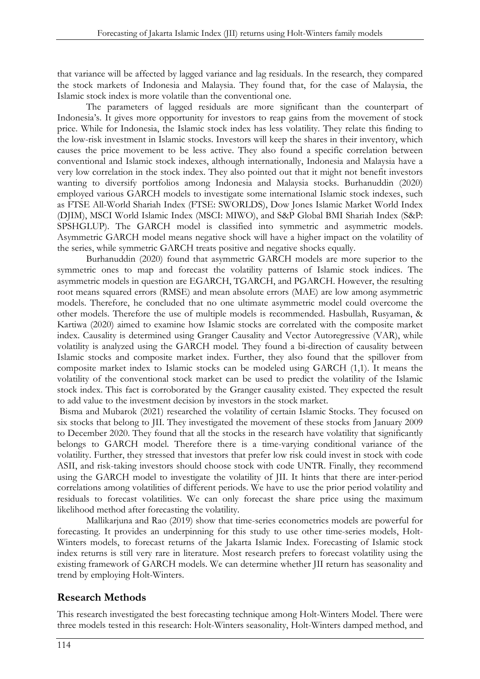that variance will be affected by lagged variance and lag residuals. In the research, they compared the stock markets of Indonesia and Malaysia. They found that, for the case of Malaysia, the Islamic stock index is more volatile than the conventional one.

The parameters of lagged residuals are more significant than the counterpart of Indonesia's. It gives more opportunity for investors to reap gains from the movement of stock price. While for Indonesia, the Islamic stock index has less volatility. They relate this finding to the low-risk investment in Islamic stocks. Investors will keep the shares in their inventory, which causes the price movement to be less active. They also found a specific correlation between conventional and Islamic stock indexes, although internationally, Indonesia and Malaysia have a very low correlation in the stock index. They also pointed out that it might not benefit investors wanting to diversify portfolios among Indonesia and Malaysia stocks. Burhanuddin (2020) employed various GARCH models to investigate some international Islamic stock indexes, such as FTSE All-World Shariah Index (FTSE: SWORLDS), Dow Jones Islamic Market World Index (DJIM), MSCI World Islamic Index (MSCI: MIWO), and S&P Global BMI Shariah Index (S&P: SPSHGLUP). The GARCH model is classified into symmetric and asymmetric models. Asymmetric GARCH model means negative shock will have a higher impact on the volatility of the series, while symmetric GARCH treats positive and negative shocks equally.

Burhanuddin (2020) found that asymmetric GARCH models are more superior to the symmetric ones to map and forecast the volatility patterns of Islamic stock indices. The asymmetric models in question are EGARCH, TGARCH, and PGARCH. However, the resulting root means squared errors (RMSE) and mean absolute errors (MAE) are low among asymmetric models. Therefore, he concluded that no one ultimate asymmetric model could overcome the other models. Therefore the use of multiple models is recommended. Hasbullah, Rusyaman, & Kartiwa (2020) aimed to examine how Islamic stocks are correlated with the composite market index. Causality is determined using Granger Causality and Vector Autoregressive (VAR), while volatility is analyzed using the GARCH model. They found a bi-direction of causality between Islamic stocks and composite market index. Further, they also found that the spillover from composite market index to Islamic stocks can be modeled using GARCH (1,1). It means the volatility of the conventional stock market can be used to predict the volatility of the Islamic stock index. This fact is corroborated by the Granger causality existed. They expected the result to add value to the investment decision by investors in the stock market.

Bisma and Mubarok (2021) researched the volatility of certain Islamic Stocks. They focused on six stocks that belong to JII. They investigated the movement of these stocks from January 2009 to December 2020. They found that all the stocks in the research have volatility that significantly belongs to GARCH model. Therefore there is a time-varying conditional variance of the volatility. Further, they stressed that investors that prefer low risk could invest in stock with code ASII, and risk-taking investors should choose stock with code UNTR. Finally, they recommend using the GARCH model to investigate the volatility of JII. It hints that there are inter-period correlations among volatilities of different periods. We have to use the prior period volatility and residuals to forecast volatilities. We can only forecast the share price using the maximum likelihood method after forecasting the volatility.

Mallikarjuna and Rao (2019) show that time-series econometrics models are powerful for forecasting. It provides an underpinning for this study to use other time-series models, Holt-Winters models, to forecast returns of the Jakarta Islamic Index. Forecasting of Islamic stock index returns is still very rare in literature. Most research prefers to forecast volatility using the existing framework of GARCH models. We can determine whether JII return has seasonality and trend by employing Holt-Winters.

# Research Methods

This research investigated the best forecasting technique among Holt-Winters Model. There were three models tested in this research: Holt-Winters seasonality, Holt-Winters damped method, and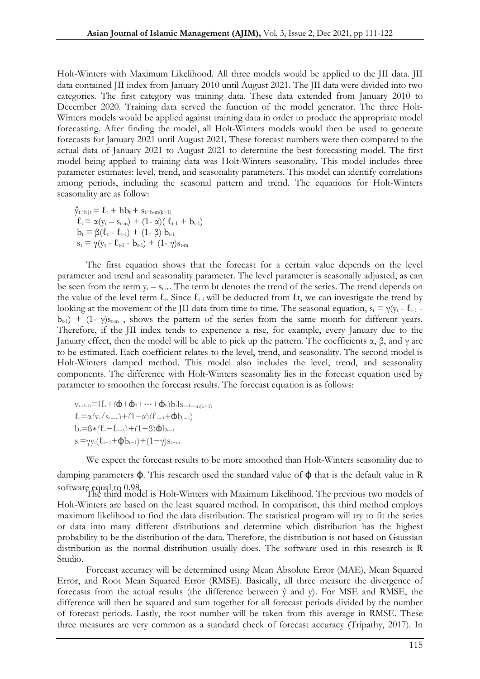Holt-Winters with Maximum Likelihood. All three models would be applied to the JII data. JII data contained JII index from January 2010 until August 2021. The JII data were divided into two categories. The first category was training data. These data extended from January 2010 to December 2020. Training data served the function of the model generator. The three Holt-Winters models would be applied against training data in order to produce the appropriate model forecasting. After finding the model, all Holt-Winters models would then be used to generate forecasts for January 2021 until August 2021. These forecast numbers were then compared to the actual data of January 2021 to August 2021 to determine the best forecasting model. The first model being applied to training data was Holt-Winters seasonality. This model includes three parameter estimates: level, trend, and seasonality parameters. This model can identify correlations among periods, including the seasonal pattern and trend. The equations for Holt-Winters seasonality are as follow:

 $\hat{y}_{t+h|t} = \ell_t + hb_t + s_{t+h-m(k+1)}$  $\ell_t = \alpha(y_t - s_{t-m}) + (1 - \alpha)(\ell_{t-1} + b_{t-1})$  $b_t = \beta(\ell_t - \ell_{t-1}) + (1-\beta) b_{t-1}$  $s_t = \gamma(y_t - \ell_{t-1} - b_{t-1}) + (1 - \gamma)s_{t-m}$ 

The first equation shows that the forecast for a certain value depends on the level parameter and trend and seasonality parameter. The level parameter is seasonally adjusted, as can be seen from the term  $y_t - s_{t-m}$ . The term bt denotes the trend of the series. The trend depends on the value of the level term  $\ell_t$ . Since  $\ell_{t-1}$  will be deducted from  $\ell_t$ , we can investigate the trend by looking at the movement of the JII data from time to time. The seasonal equation,  $s_t = \gamma (y_t - \ell_{t-1} - \ell_{t-1})$  $b_{t-1}$ ) + (1- γ)s<sub>t-m</sub>, shows the pattern of the series from the same month for different years. Therefore, if the JII index tends to experience a rise, for example, every January due to the January effect, then the model will be able to pick up the pattern. The coefficients  $\alpha$ ,  $\beta$ , and  $\gamma$  are to be estimated. Each coefficient relates to the level, trend, and seasonality. The second model is Holt-Winters damped method. This model also includes the level, trend, and seasonality components. The difference with Holt-Winters seasonality lies in the forecast equation used by parameter to smoothen the forecast results. The forecast equation is as follows:

 $v_{t+h+t}=[\ell_t+(\mathbf{\Phi}+\mathbf{\Phi}_2+\cdots+\mathbf{\Phi}_h)]_{t+1,s_{t+h-m(k+1)}}$  $\ell_t = \alpha(v_t/s_{t-m}) + (1-\alpha)(\ell_{t-1}+\mathbf{d}b_{t-1})$  $b_t = \beta * (\ell_t - \ell_{t-1}) + (1 - \beta)$  $\Phi$  $s_t = \gamma y_t(\ell_{t-1} + \phi b_{t-1}) + (1 - \gamma)s_{t-m}$ 

We expect the forecast results to be more smoothed than Holt-Winters seasonality due to

damping parameters  $\phi$ . This research used the standard value of  $\phi$  that is the default value in R software equal to 0.98.<br>The third model is Holt-Winters with Maximum Likelihood. The previous two models of

Holt-Winters are based on the least squared method. In comparison, this third method employs maximum likelihood to find the data distribution. The statistical program will try to fit the series or data into many different distributions and determine which distribution has the highest probability to be the distribution of the data. Therefore, the distribution is not based on Gaussian distribution as the normal distribution usually does. The software used in this research is R Studio.

Forecast accuracy will be determined using Mean Absolute Error (MAE), Mean Squared Error, and Root Mean Squared Error (RMSE). Basically, all three measure the divergence of forecasts from the actual results (the difference between  $\hat{y}$  and  $y$ ). For MSE and RMSE, the difference will then be squared and sum together for all forecast periods divided by the number of forecast periods. Lastly, the root number will be taken from this average in RMSE. These three measures are very common as a standard check of forecast accuracy (Tripathy, 2017). In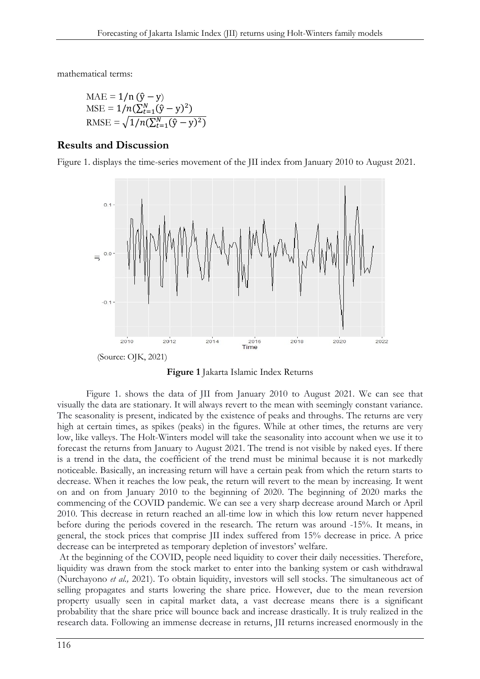mathematical terms:

MAE = 
$$
1/n (\hat{y} - y)
$$
  
MSE =  $1/n(\sum_{t=1}^{N} (\hat{y} - y)^2)$   
RMSE =  $\sqrt{1/n(\sum_{t=1}^{N} (\hat{y} - y)^2)}$ 

#### Results and Discussion

Figure 1. displays the time-series movement of the JII index from January 2010 to August 2021.





Figure 1. shows the data of JII from January 2010 to August 2021. We can see that visually the data are stationary. It will always revert to the mean with seemingly constant variance. The seasonality is present, indicated by the existence of peaks and throughs. The returns are very high at certain times, as spikes (peaks) in the figures. While at other times, the returns are very low, like valleys. The Holt-Winters model will take the seasonality into account when we use it to forecast the returns from January to August 2021. The trend is not visible by naked eyes. If there is a trend in the data, the coefficient of the trend must be minimal because it is not markedly noticeable. Basically, an increasing return will have a certain peak from which the return starts to decrease. When it reaches the low peak, the return will revert to the mean by increasing. It went on and on from January 2010 to the beginning of 2020. The beginning of 2020 marks the commencing of the COVID pandemic. We can see a very sharp decrease around March or April 2010. This decrease in return reached an all-time low in which this low return never happened before during the periods covered in the research. The return was around -15%. It means, in general, the stock prices that comprise JII index suffered from 15% decrease in price. A price decrease can be interpreted as temporary depletion of investors' welfare.

At the beginning of the COVID, people need liquidity to cover their daily necessities. Therefore, liquidity was drawn from the stock market to enter into the banking system or cash withdrawal (Nurchayono *et al.,* 2021). To obtain liquidity, investors will sell stocks. The simultaneous act of selling propagates and starts lowering the share price. However, due to the mean reversion property usually seen in capital market data, a vast decrease means there is a significant probability that the share price will bounce back and increase drastically. It is truly realized in the research data. Following an immense decrease in returns, JII returns increased enormously in the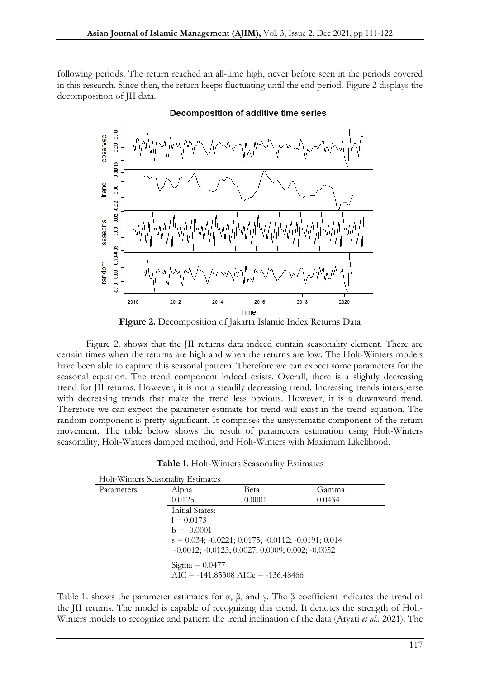following periods. The return reached an all-time high, never before seen in the periods covered in this research. Since then, the return keeps fluctuating until the end period. Figure 2 displays the decomposition of JII data.



Decomposition of additive time series

Figure 2. Decomposition of Jakarta Islamic Index Returns Data

Figure 2. shows that the JII returns data indeed contain seasonality element. There are certain times when the returns are high and when the returns are low. The Holt-Winters models have been able to capture this seasonal pattern. Therefore we can expect some parameters for the seasonal equation. The trend component indeed exists. Overall, there is a slightly decreasing trend for JII returns. However, it is not a steadily decreasing trend. Increasing trends intersperse with decreasing trends that make the trend less obvious. However, it is a downward trend. Therefore we can expect the parameter estimate for trend will exist in the trend equation. The random component is pretty significant. It comprises the unsystematic component of the return movement. The table below shows the result of parameters estimation using Holt-Winters seasonality, Holt-Winters damped method, and Holt-Winters with Maximum Likelihood.

| Holt-Winters Seasonality Estimates |                                                                   |                                                                      |        |  |  |
|------------------------------------|-------------------------------------------------------------------|----------------------------------------------------------------------|--------|--|--|
| Parameters                         | Alpha                                                             | Beta                                                                 | Gamma  |  |  |
|                                    | 0.0125                                                            | 0.0001                                                               | 0.0434 |  |  |
|                                    | Initial States:                                                   |                                                                      |        |  |  |
|                                    | $l = 0.0173$                                                      |                                                                      |        |  |  |
|                                    | $b = -0.0001$                                                     |                                                                      |        |  |  |
|                                    |                                                                   | $s = 0.034$ ; $-0.0221$ ; $0.0175$ ; $-0.0112$ ; $-0.0191$ ; $0.014$ |        |  |  |
|                                    | $-0.0012$ ; $-0.0123$ ; $0.0027$ ; $0.0009$ ; $0.002$ ; $-0.0052$ |                                                                      |        |  |  |
|                                    | $Sigma = 0.0477$<br>$AIC = -141.85308 AICc = -136.48466$          |                                                                      |        |  |  |

Table 1. shows the parameter estimates for  $\alpha$ ,  $\beta$ , and  $\gamma$ . The  $\beta$  coefficient indicates the trend of the JII returns. The model is capable of recognizing this trend. It denotes the strength of Holt-Winters models to recognize and pattern the trend inclination of the data (Aryati *et al.,* 2021). The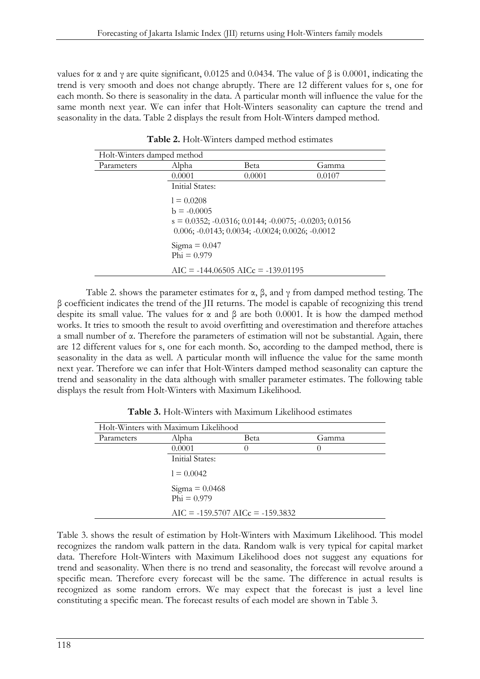values for α and γ are quite significant, 0.0125 and 0.0434. The value of β is 0.0001, indicating the trend is very smooth and does not change abruptly. There are 12 different values for s, one for each month. So there is seasonality in the data. A particular month will influence the value for the same month next year. We can infer that Holt-Winters seasonality can capture the trend and seasonality in the data. Table 2 displays the result from Holt-Winters damped method.

| Holt-Winters damped method |                                                                                                                                             |        |        |  |  |
|----------------------------|---------------------------------------------------------------------------------------------------------------------------------------------|--------|--------|--|--|
| Parameters                 | Alpha                                                                                                                                       | Beta   | Gamma  |  |  |
|                            | 0.0001                                                                                                                                      | 0.0001 | 0.0107 |  |  |
|                            | Initial States:                                                                                                                             |        |        |  |  |
|                            | $1 = 0.0208$                                                                                                                                |        |        |  |  |
|                            | $b = -0.0005$                                                                                                                               |        |        |  |  |
|                            | $s = 0.0352$ ; $-0.0316$ ; $0.0144$ ; $-0.0075$ ; $-0.0203$ ; $0.0156$<br>$0.006$ ; $-0.0143$ ; $0.0034$ ; $-0.0024$ ; $0.0026$ ; $-0.0012$ |        |        |  |  |
|                            | $Sigma = 0.047$<br>$Phi = 0.979$                                                                                                            |        |        |  |  |
|                            | $AIC = -144.06505 AICc = -139.01195$                                                                                                        |        |        |  |  |

Table 2. Holt-Winters damped method estimates

Table 2. shows the parameter estimates for  $\alpha$ ,  $\beta$ , and  $\gamma$  from damped method testing. The β coefficient indicates the trend of the JII returns. The model is capable of recognizing this trend despite its small value. The values for  $\alpha$  and  $\beta$  are both 0.0001. It is how the damped method works. It tries to smooth the result to avoid overfitting and overestimation and therefore attaches a small number of α. Therefore the parameters of estimation will not be substantial. Again, there are 12 different values for s, one for each month. So, according to the damped method, there is seasonality in the data as well. A particular month will influence the value for the same month next year. Therefore we can infer that Holt-Winters damped method seasonality can capture the trend and seasonality in the data although with smaller parameter estimates. The following table displays the result from Holt-Winters with Maximum Likelihood.

| Holt-Winters with Maximum Likelihood |                                    |                  |        |  |  |
|--------------------------------------|------------------------------------|------------------|--------|--|--|
| Parameters                           | Alpha                              | Beta             | Gamma  |  |  |
|                                      | 0.0001                             |                  | $\Box$ |  |  |
|                                      | Initial States:                    |                  |        |  |  |
|                                      | $l = 0.0042$                       |                  |        |  |  |
|                                      | $Phi = 0.979$                      | Sigma = $0.0468$ |        |  |  |
|                                      | $AIC = -159.5707 AICc = -159.3832$ |                  |        |  |  |

Table 3. Holt-Winters with Maximum Likelihood estimates

Table 3. shows the result of estimation by Holt-Winters with Maximum Likelihood. This model recognizes the random walk pattern in the data. Random walk is very typical for capital market data. Therefore Holt-Winters with Maximum Likelihood does not suggest any equations for trend and seasonality. When there is no trend and seasonality, the forecast will revolve around a specific mean. Therefore every forecast will be the same. The difference in actual results is recognized as some random errors. We may expect that the forecast is just a level line constituting a specific mean. The forecast results of each model are shown in Table 3.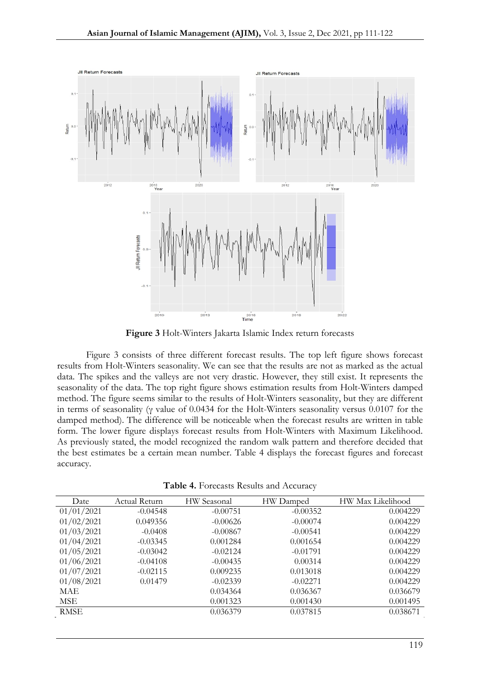

Figure 3 Holt-Winters Jakarta Islamic Index return forecasts

Figure 3 consists of three different forecast results. The top left figure shows forecast results from Holt-Winters seasonality. We can see that the results are not as marked as the actual data. The spikes and the valleys are not very drastic. However, they still exist. It represents the seasonality of the data. The top right figure shows estimation results from Holt-Winters damped method. The figure seems similar to the results of Holt-Winters seasonality, but they are different in terms of seasonality (γ value of 0.0434 for the Holt-Winters seasonality versus 0.0107 for the damped method). The difference will be noticeable when the forecast results are written in table form. The lower figure displays forecast results from Holt-Winters with Maximum Likelihood. As previously stated, the model recognized the random walk pattern and therefore decided that the best estimates be a certain mean number. Table 4 displays the forecast figures and forecast accuracy.

| Date        | Actual Return | HW Seasonal | HW Damped  | HW Max Likelihood |
|-------------|---------------|-------------|------------|-------------------|
| 01/01/2021  | $-0.04548$    | $-0.00751$  | $-0.00352$ | 0.004229          |
| 01/02/2021  | 0.049356      | $-0.00626$  | $-0.00074$ | 0.004229          |
| 01/03/2021  | $-0.0408$     | $-0.00867$  | $-0.00541$ | 0.004229          |
| 01/04/2021  | $-0.03345$    | 0.001284    | 0.001654   | 0.004229          |
| 01/05/2021  | $-0.03042$    | $-0.02124$  | $-0.01791$ | 0.004229          |
| 01/06/2021  | $-0.04108$    | $-0.00435$  | 0.00314    | 0.004229          |
| 01/07/2021  | $-0.02115$    | 0.009235    | 0.013018   | 0.004229          |
| 01/08/2021  | 0.01479       | $-0.02339$  | $-0.02271$ | 0.004229          |
| <b>MAE</b>  |               | 0.034364    | 0.036367   | 0.036679          |
| MSE         |               | 0.001323    | 0.001430   | 0.001495          |
| <b>RMSE</b> |               | 0.036379    | 0.037815   | 0.038671          |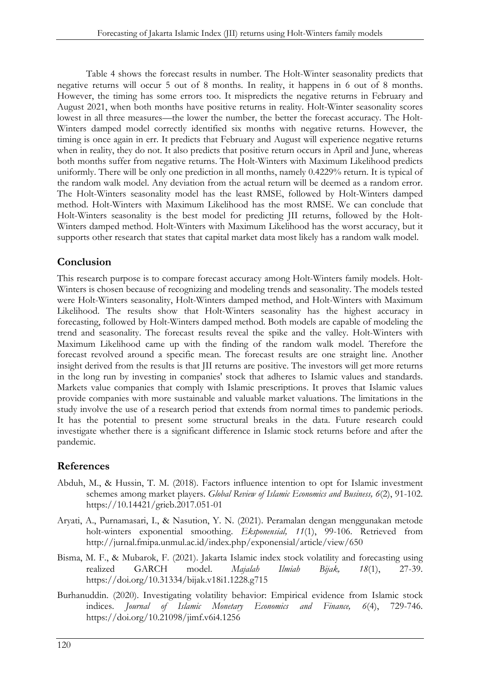Table 4 shows the forecast results in number. The Holt-Winter seasonality predicts that negative returns will occur 5 out of 8 months. In reality, it happens in 6 out of 8 months. However, the timing has some errors too. It mispredicts the negative returns in February and August 2021, when both months have positive returns in reality. Holt-Winter seasonality scores lowest in all three measures—the lower the number, the better the forecast accuracy. The Holt-Winters damped model correctly identified six months with negative returns. However, the timing is once again in err. It predicts that February and August will experience negative returns when in reality, they do not. It also predicts that positive return occurs in April and June, whereas both months suffer from negative returns. The Holt-Winters with Maximum Likelihood predicts uniformly. There will be only one prediction in all months, namely 0.4229% return. It is typical of the random walk model. Any deviation from the actual return will be deemed as a random error. The Holt-Winters seasonality model has the least RMSE, followed by Holt-Winters damped method. Holt-Winters with Maximum Likelihood has the most RMSE. We can conclude that Holt-Winters seasonality is the best model for predicting JII returns, followed by the Holt-Winters damped method. Holt-Winters with Maximum Likelihood has the worst accuracy, but it supports other research that states that capital market data most likely has a random walk model.

### Conclusion

This research purpose is to compare forecast accuracy among Holt-Winters family models. Holt-Winters is chosen because of recognizing and modeling trends and seasonality. The models tested were Holt-Winters seasonality, Holt-Winters damped method, and Holt-Winters with Maximum Likelihood. The results show that Holt-Winters seasonality has the highest accuracy in forecasting, followed by Holt-Winters damped method. Both models are capable of modeling the trend and seasonality. The forecast results reveal the spike and the valley. Holt-Winters with Maximum Likelihood came up with the finding of the random walk model. Therefore the forecast revolved around a specific mean. The forecast results are one straight line. Another insight derived from the results is that JII returns are positive. The investors will get more returns in the long run by investing in companies' stock that adheres to Islamic values and standards. Markets value companies that comply with Islamic prescriptions. It proves that Islamic values provide companies with more sustainable and valuable market valuations. The limitations in the study involve the use of a research period that extends from normal times to pandemic periods. It has the potential to present some structural breaks in the data. Future research could investigate whether there is a significant difference in Islamic stock returns before and after the pandemic.

# References

- Abduh, M., & Hussin, T. M. (2018). Factors influence intention to opt for Islamic investment schemes among market players. *Global Review of Islamic Economics and Business, 6*(2), 91-102. https://10.14421/grieb.2017.051-01
- Aryati, A., Purnamasari, I., & Nasution, Y. N. (2021). Peramalan dengan menggunakan metode holt-winters exponential smoothing. *Eksponensial, 11*(1), 99-106. Retrieved from http://jurnal.fmipa.unmul.ac.id/index.php/exponensial/article/view/650
- Bisma, M. F., & Mubarok, F. (2021). Jakarta Islamic index stock volatility and forecasting using realized GARCH model. *Majalah Ilmiah Bijak, 18*(1), 27-39. https://doi.org/10.31334/bijak.v18i1.1228.g715
- Burhanuddin. (2020). Investigating volatility behavior: Empirical evidence from Islamic stock indices. *Journal of Islamic Monetary Economics and Finance, 6*(4), 729-746. https://doi.org/10.21098/jimf.v6i4.1256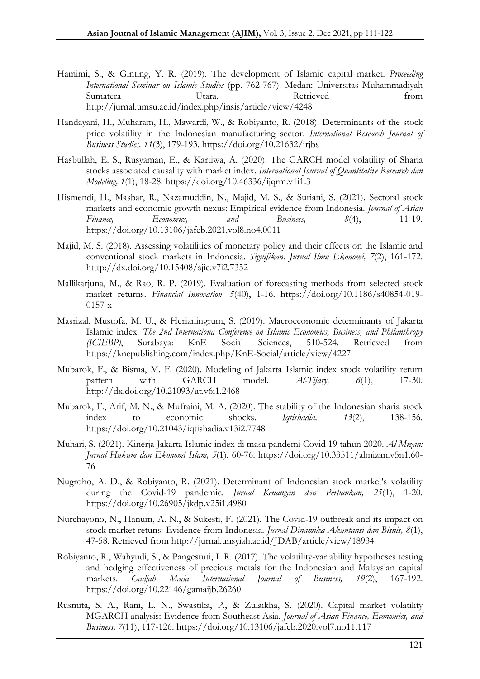- Hamimi, S., & Ginting, Y. R. (2019). The development of Islamic capital market. *Proceeding International Seminar on Islamic Studies* (pp. 762-767). Medan: Universitas Muhammadiyah Sumatera Utara. Retrieved from http://jurnal.umsu.ac.id/index.php/insis/article/view/4248
- Handayani, H., Muharam, H., Mawardi, W., & Robiyanto, R. (2018). Determinants of the stock price volatility in the Indonesian manufacturing sector. *International Research Journal of Business Studies, 11*(3), 179-193. https://doi.org/10.21632/irjbs
- Hasbullah, E. S., Rusyaman, E., & Kartiwa, A. (2020). The GARCH model volatility of Sharia stocks associated causality with market index. *International Journal of Quantitative Research dan Modeling, 1*(1), 18-28. https://doi.org/10.46336/ijqrm.v1i1.3
- Hismendi, H., Masbar, R., Nazamuddin, N., Majid, M. S., & Suriani, S. (2021). Sectoral stock markets and economic growth nexus: Empirical evidence from Indonesia. *Journal of Asian*<br>Finance, Economics, and Business, 8(4), 11-19. *Finance, Economics, and Business, 8*(4), 11-19. https://doi.org/10.13106/jafeb.2021.vol8.no4.0011
- Majid, M. S. (2018). Assessing volatilities of monetary policy and their effects on the Islamic and conventional stock markets in Indonesia. *Signifikan: Jurnal Ilmu Ekonomi, 7*(2), 161-172. htttp://dx.doi.org/10.15408/sjie.v7i2.7352
- Mallikarjuna, M., & Rao, R. P. (2019). Evaluation of forecasting methods from selected stock market returns. *Financial Innovation, 5*(40), 1-16. https://doi.org/10.1186/s40854-019- 0157-x
- Masrizal, Mustofa, M. U., & Herianingrum, S. (2019). Macroeconomic determinants of Jakarta Islamic index. *The 2nd Internationa Conference on Islamic Economics, Business, and Philanthropy (ICIEBP)*, Surabaya: KnE Social Sciences, 510-524. Retrieved from https://knepublishing.com/index.php/KnE-Social/article/view/4227
- Mubarok, F., & Bisma, M. F. (2020). Modeling of Jakarta Islamic index stock volatility return pattern with GARCH model. *Al-Tijary, 6*(1), 17-30. http://dx.doi.org/10.21093/at.v6i1.2468
- Mubarok, F., Arif, M. N., & Mufraini, M. A. (2020). The stability of the Indonesian sharia stock index to economic shocks. *Iqtishadia, 13*(2), 138-156. https://doi.org/10.21043/iqtishadia.v13i2.7748
- Muhari, S. (2021). Kinerja Jakarta Islamic index di masa pandemi Covid 19 tahun 2020. *Al-Mizan: Jurnal Hukum dan Ekonomi Islam, 5*(1), 60-76. https://doi.org/10.33511/almizan.v5n1.60- 76
- Nugroho, A. D., & Robiyanto, R. (2021). Determinant of Indonesian stock market's volatility during the Covid-19 pandemic. *Jurnal Keuangan dan Perbankan, 25*(1), 1-20. https://doi.org/10.26905/jkdp.v25i1.4980
- Nurchayono, N., Hanum, A. N., & Sukesti, F. (2021). The Covid-19 outbreak and its impact on stock market retuns: Evidence from Indonesia. *Jurnal Dinamika Akuntansi dan Bisnis, 8*(1), 47-58. Retrieved from http://jurnal.unsyiah.ac.id/JDAB/article/view/18934
- Robiyanto, R., Wahyudi, S., & Pangestuti, I. R. (2017). The volatility-variability hypotheses testing and hedging effectiveness of precious metals for the Indonesian and Malaysian capital markets. *Gadjah Mada International Journal of Business, 19*(2), 167-192. https://doi.org/10.22146/gamaijb.26260
- Rusmita, S. A., Rani, L. N., Swastika, P., & Zulaikha, S. (2020). Capital market volatility MGARCH analysis: Evidence from Southeast Asia. *Journal of Asian Finance, Economics, and Business, 7*(11), 117-126. https://doi.org/10.13106/jafeb.2020.vol7.no11.117